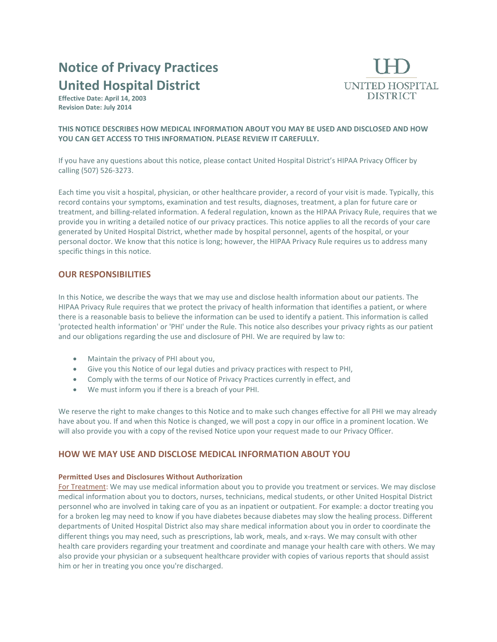# **Notice of Privacy Practices United Hospital District**

**Effective Date: April 14, 2003 Revision Date: July 2014** 



## **THIS NOTICE DESCRIBES HOW MEDICAL INFORMATION ABOUT YOU MAY BE USED AND DISCLOSED AND HOW YOU CAN GET ACCESS TO THIS INFORMATION. PLEASE REVIEW IT CAREFULLY.**

If you have any questions about this notice, please contact United Hospital District's HIPAA Privacy Officer by calling (507) 526-3273.

Each time you visit a hospital, physician, or other healthcare provider, a record of your visit is made. Typically, this record contains your symptoms, examination and test results, diagnoses, treatment, a plan for future care or treatment, and billing-related information. A federal regulation, known as the HIPAA Privacy Rule, requires that we provide you in writing a detailed notice of our privacy practices. This notice applies to all the records of your care generated by United Hospital District, whether made by hospital personnel, agents of the hospital, or your personal doctor. We know that this notice is long; however, the HIPAA Privacy Rule requires us to address many specific things in this notice.

# **OUR RESPONSIBILITIES**

In this Notice, we describe the ways that we may use and disclose health information about our patients. The HIPAA Privacy Rule requires that we protect the privacy of health information that identifies a patient, or where there is a reasonable basis to believe the information can be used to identify a patient. This information is called 'protected health information' or 'PHI' under the Rule. This notice also describes your privacy rights as our patient and our obligations regarding the use and disclosure of PHI. We are required by law to:

- Maintain the privacy of PHI about you,
- Give you this Notice of our legal duties and privacy practices with respect to PHI,
- Comply with the terms of our Notice of Privacy Practices currently in effect, and
- We must inform you if there is a breach of your PHI.

We reserve the right to make changes to this Notice and to make such changes effective for all PHI we may already have about you. If and when this Notice is changed, we will post a copy in our office in a prominent location. We will also provide you with a copy of the revised Notice upon your request made to our Privacy Officer.

# **HOW WE MAY USE AND DISCLOSE MEDICAL INFORMATION ABOUT YOU**

## **Permitted Uses and Disclosures Without Authorization**

For Treatment: We may use medical information about you to provide you treatment or services. We may disclose medical information about you to doctors, nurses, technicians, medical students, or other United Hospital District personnel who are involved in taking care of you as an inpatient or outpatient. For example: a doctor treating you for a broken leg may need to know if you have diabetes because diabetes may slow the healing process. Different departments of United Hospital District also may share medical information about you in order to coordinate the different things you may need, such as prescriptions, lab work, meals, and x-rays. We may consult with other health care providers regarding your treatment and coordinate and manage your health care with others. We may also provide your physician or a subsequent healthcare provider with copies of various reports that should assist him or her in treating you once you're discharged.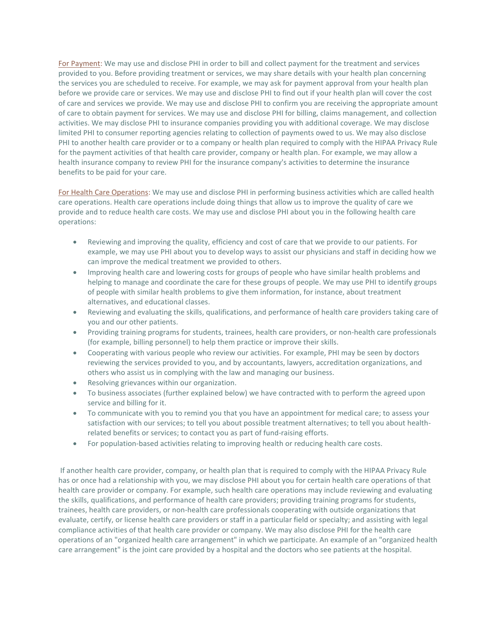For Payment: We may use and disclose PHI in order to bill and collect payment for the treatment and services provided to you. Before providing treatment or services, we may share details with your health plan concerning the services you are scheduled to receive. For example, we may ask for payment approval from your health plan before we provide care or services. We may use and disclose PHI to find out if your health plan will cover the cost of care and services we provide. We may use and disclose PHI to confirm you are receiving the appropriate amount of care to obtain payment for services. We may use and disclose PHI for billing, claims management, and collection activities. We may disclose PHI to insurance companies providing you with additional coverage. We may disclose limited PHI to consumer reporting agencies relating to collection of payments owed to us. We may also disclose PHI to another health care provider or to a company or health plan required to comply with the HIPAA Privacy Rule for the payment activities of that health care provider, company or health plan. For example, we may allow a health insurance company to review PHI for the insurance company's activities to determine the insurance benefits to be paid for your care.

For Health Care Operations: We may use and disclose PHI in performing business activities which are called health care operations. Health care operations include doing things that allow us to improve the quality of care we provide and to reduce health care costs. We may use and disclose PHI about you in the following health care operations:

- Reviewing and improving the quality, efficiency and cost of care that we provide to our patients. For example, we may use PHI about you to develop ways to assist our physicians and staff in deciding how we can improve the medical treatment we provided to others.
- Improving health care and lowering costs for groups of people who have similar health problems and helping to manage and coordinate the care for these groups of people. We may use PHI to identify groups of people with similar health problems to give them information, for instance, about treatment alternatives, and educational classes.
- Reviewing and evaluating the skills, qualifications, and performance of health care providers taking care of you and our other patients.
- Providing training programs for students, trainees, health care providers, or non-health care professionals (for example, billing personnel) to help them practice or improve their skills.
- Cooperating with various people who review our activities. For example, PHI may be seen by doctors reviewing the services provided to you, and by accountants, lawyers, accreditation organizations, and others who assist us in complying with the law and managing our business.
- Resolving grievances within our organization.
- To business associates (further explained below) we have contracted with to perform the agreed upon service and billing for it.
- To communicate with you to remind you that you have an appointment for medical care; to assess your satisfaction with our services; to tell you about possible treatment alternatives; to tell you about healthrelated benefits or services; to contact you as part of fund-raising efforts.
- For population-based activities relating to improving health or reducing health care costs.

If another health care provider, company, or health plan that is required to comply with the HIPAA Privacy Rule has or once had a relationship with you, we may disclose PHI about you for certain health care operations of that health care provider or company. For example, such health care operations may include reviewing and evaluating the skills, qualifications, and performance of health care providers; providing training programs for students, trainees, health care providers, or non-health care professionals cooperating with outside organizations that evaluate, certify, or license health care providers or staff in a particular field or specialty; and assisting with legal compliance activities of that health care provider or company. We may also disclose PHI for the health care operations of an "organized health care arrangement" in which we participate. An example of an "organized health care arrangement" is the joint care provided by a hospital and the doctors who see patients at the hospital.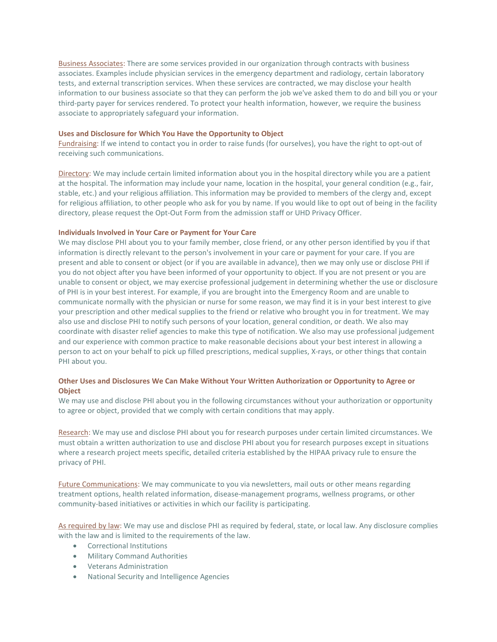Business Associates: There are some services provided in our organization through contracts with business associates. Examples include physician services in the emergency department and radiology, certain laboratory tests, and external transcription services. When these services are contracted, we may disclose your health information to our business associate so that they can perform the job we've asked them to do and bill you or your third-party payer for services rendered. To protect your health information, however, we require the business associate to appropriately safeguard your information.

## **Uses and Disclosure for Which You Have the Opportunity to Object**

Fundraising: If we intend to contact you in order to raise funds (for ourselves), you have the right to opt-out of receiving such communications.

Directory: We may include certain limited information about you in the hospital directory while you are a patient at the hospital. The information may include your name, location in the hospital, your general condition (e.g., fair, stable, etc.) and your religious affiliation. This information may be provided to members of the clergy and, except for religious affiliation, to other people who ask for you by name. If you would like to opt out of being in the facility directory, please request the Opt-Out Form from the admission staff or UHD Privacy Officer.

#### **Individuals Involved in Your Care or Payment for Your Care**

We may disclose PHI about you to your family member, close friend, or any other person identified by you if that information is directly relevant to the person's involvement in your care or payment for your care. If you are present and able to consent or object (or if you are available in advance), then we may only use or disclose PHI if you do not object after you have been informed of your opportunity to object. If you are not present or you are unable to consent or object, we may exercise professional judgement in determining whether the use or disclosure of PHI is in your best interest. For example, if you are brought into the Emergency Room and are unable to communicate normally with the physician or nurse for some reason, we may find it is in your best interest to give your prescription and other medical supplies to the friend or relative who brought you in for treatment. We may also use and disclose PHI to notify such persons of your location, general condition, or death. We also may coordinate with disaster relief agencies to make this type of notification. We also may use professional judgement and our experience with common practice to make reasonable decisions about your best interest in allowing a person to act on your behalf to pick up filled prescriptions, medical supplies, X-rays, or other things that contain PHI about you.

## **Other Uses and Disclosures We Can Make Without Your Written Authorization or Opportunity to Agree or Object**

We may use and disclose PHI about you in the following circumstances without your authorization or opportunity to agree or object, provided that we comply with certain conditions that may apply.

Research: We may use and disclose PHI about you for research purposes under certain limited circumstances. We must obtain a written authorization to use and disclose PHI about you for research purposes except in situations where a research project meets specific, detailed criteria established by the HIPAA privacy rule to ensure the privacy of PHI.

Future Communications: We may communicate to you via newsletters, mail outs or other means regarding treatment options, health related information, disease-management programs, wellness programs, or other community-based initiatives or activities in which our facility is participating.

As required by law: We may use and disclose PHI as required by federal, state, or local law. Any disclosure complies with the law and is limited to the requirements of the law.

- Correctional Institutions
- Military Command Authorities
- Veterans Administration
- National Security and Intelligence Agencies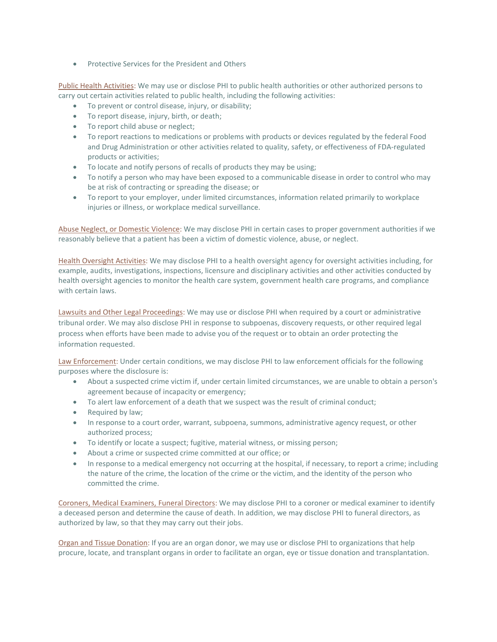• Protective Services for the President and Others

Public Health Activities: We may use or disclose PHI to public health authorities or other authorized persons to carry out certain activities related to public health, including the following activities:

- To prevent or control disease, injury, or disability;
- To report disease, injury, birth, or death;
- To report child abuse or neglect;
- To report reactions to medications or problems with products or devices regulated by the federal Food and Drug Administration or other activities related to quality, safety, or effectiveness of FDA-regulated products or activities;
- To locate and notify persons of recalls of products they may be using;
- To notify a person who may have been exposed to a communicable disease in order to control who may be at risk of contracting or spreading the disease; or
- To report to your employer, under limited circumstances, information related primarily to workplace injuries or illness, or workplace medical surveillance.

Abuse Neglect, or Domestic Violence: We may disclose PHI in certain cases to proper government authorities if we reasonably believe that a patient has been a victim of domestic violence, abuse, or neglect.

Health Oversight Activities: We may disclose PHI to a health oversight agency for oversight activities including, for example, audits, investigations, inspections, licensure and disciplinary activities and other activities conducted by health oversight agencies to monitor the health care system, government health care programs, and compliance with certain laws.

Lawsuits and Other Legal Proceedings: We may use or disclose PHI when required by a court or administrative tribunal order. We may also disclose PHI in response to subpoenas, discovery requests, or other required legal process when efforts have been made to advise you of the request or to obtain an order protecting the information requested.

Law Enforcement: Under certain conditions, we may disclose PHI to law enforcement officials for the following purposes where the disclosure is:

- About a suspected crime victim if, under certain limited circumstances, we are unable to obtain a person's agreement because of incapacity or emergency;
- To alert law enforcement of a death that we suspect was the result of criminal conduct;
- Required by law;
- In response to a court order, warrant, subpoena, summons, administrative agency request, or other authorized process;
- To identify or locate a suspect; fugitive, material witness, or missing person;
- About a crime or suspected crime committed at our office; or
- In response to a medical emergency not occurring at the hospital, if necessary, to report a crime; including the nature of the crime, the location of the crime or the victim, and the identity of the person who committed the crime.

Coroners, Medical Examiners, Funeral Directors: We may disclose PHI to a coroner or medical examiner to identify a deceased person and determine the cause of death. In addition, we may disclose PHI to funeral directors, as authorized by law, so that they may carry out their jobs.

Organ and Tissue Donation: If you are an organ donor, we may use or disclose PHI to organizations that help procure, locate, and transplant organs in order to facilitate an organ, eye or tissue donation and transplantation.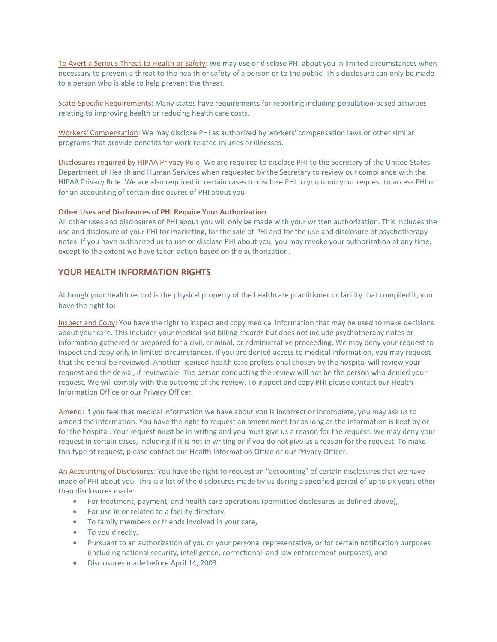To Avert a Serious Threat to Health or Safety: We may use or disclose PHI about you in limited circumstances when necessary to prevent a threat to the health or safety of a person or to the public. This disclosure can only be made to a person who is able to help prevent the threat.

State-Specific Requirements: Many states have requirements for reporting including population-based activities relating to improving health or reducing health care costs.

Workers' Compensation: We may disclose PHI as authorized by workers' compensation laws or other similar programs that provide benefits for work-related injuries or illnesses.

Disclosures required by HIPAA Privacy Rule: We are required to disclose PHI to the Secretary of the United States Department of Health and Human Services when requested by the Secretary to review our compliance with the HIPAA Privacy Rule. We are also required in certain cases to disclose PHI to you upon your request to access PHI or for an accounting of certain disclosures of PHI about you.

#### **Other Uses and Disclosures of PHI Require Your Authorization**

All other uses and disclosures of PHI about you will only be made with your written authorization. This includes the use and disclosure of your PHI for marketing, for the sale of PHI and for the use and disclosure of psychotherapy notes. If you have authorized us to use or disclose PHI about you, you may revoke your authorization at any time, except to the extent we have taken action based on the authorization.

## **YOUR HEALTH INFORMATION RIGHTS**

Although your health record is the physical property of the healthcare practitioner or facility that compiled it, you have the right to:

Inspect and Copy: You have the right to inspect and copy medical information that may be used to make decisions about your care. This includes your medical and billing records but does not include psychotherapy notes or information gathered or prepared for a civil, criminal, or administrative proceeding. We may deny your request to inspect and copy only in limited circumstances. If you are denied access to medical information, you may request that the denial be reviewed. Another licensed health care professional chosen by the hospital will review your request and the denial, if reviewable. The person conducting the review will not be the person who denied your request. We will comply with the outcome of the review. To inspect and copy PHI please contact our Health Information Office or our Privacy Officer.

Amend: If you feel that medical information we have about you is incorrect or incomplete, you may ask us to amend the information. You have the right to request an amendment for as long as the information is kept by or for the hospital. Your request must be in writing and you must give us a reason for the request. We may deny your request in certain cases, including if it is not in writing or if you do not give us a reason for the request. To make this type of request, please contact our Health Information Office or our Privacy Officer.

An Accounting of Disclosures: You have the right to request an "accounting" of certain disclosures that we have made of PHI about you. This is a list of the disclosures made by us during a specified period of up to six years other than disclosures made:

- For treatment, payment, and health care operations (permitted disclosures as defined above),
- For use in or related to a facility directory,
- To family members or friends involved in your care,
- To you directly,
- Pursuant to an authorization of you or your personal representative, or for certain notification purposes (including national security, intelligence, correctional, and law enforcement purposes), and
- Disclosures made before April 14, 2003.